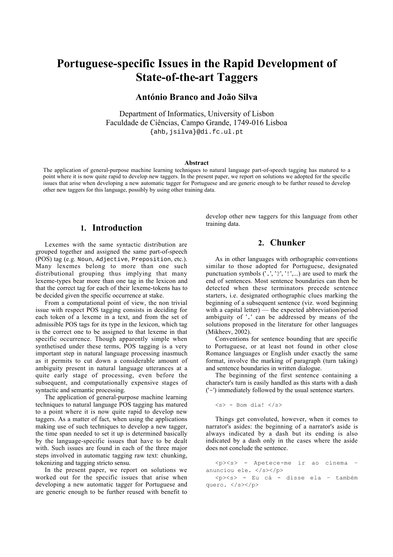# **Portuguese-specific Issues in the Rapid Development of State-of-the-art Taggers**

# **António Branco and João Silva**

Department of Informatics, University of Lisbon Faculdade de Ciências, Campo Grande, 1749-016 Lisboa {ahb,jsilva}@di.fc.ul.pt

### **Abstract**

The application of general-purpose machine learning techniques to natural language part-of-speech tagging has matured to a point where it is now quite rapid to develop new taggers. In the present paper, we report on solutions we adopted for the specific issues that arise when developing a new automatic tagger for Portuguese and are generic enough to be further reused to develop other new taggers for this language, possibly by using other training data.

# **1. Introduction**

Lexemes with the same syntactic distribution are grouped together and assigned the same part-of-speech (POS) tag (e.g. Noun, Adjective, Preposition, etc.). Many lexemes belong to more than one such distributional grouping thus implying that many lexeme-types bear more than one tag in the lexicon and that the correct tag for each of their lexeme-tokens has to be decided given the specific occurrence at stake.

From a computational point of view, the non trivial issue with respect POS tagging consists in deciding for each token of a lexeme in a text, and from the set of admissible POS tags for its type in the lexicon, which tag is the correct one to be assigned to that lexeme in that specific occurrence. Though apparently simple when synthetised under these terms, POS tagging is a very important step in natural language processing inasmuch as it permits to cut down a considerable amount of ambiguity present in natural language utterances at a quite early stage of processing, even before the subsequent, and computationally expensive stages of syntactic and semantic processing.

The application of general-purpose machine learning techniques to natural language POS tagging has matured to a point where it is now quite rapid to develop new taggers. As a matter of fact, when using the applications making use of such techniques to develop a new tagger, the time span needed to set it up is determined basically by the language-specific issues that have to be dealt with. Such issues are found in each of the three major steps involved in automatic tagging raw text: chunking, tokenizing and tagging stricto sensu.

In the present paper, we report on solutions we worked out for the specific issues that arise when developing a new automatic tagger for Portuguese and are generic enough to be further reused with benefit to

develop other new taggers for this language from other training data.

# **2. Chunker**

As in other languages with orthographic conventions similar to those adopted for Portuguese, designated punctuation symbols ('.', '?', '!',...) are used to mark the end of sentences. Most sentence boundaries can then be detected when these terminators precede sentence starters, i.e. designated orthographic clues marking the beginning of a subsequent sentence (viz. word beginning with a capital letter) — the expected abbreviation/period ambiguity of '.' can be addressed by means of the solutions proposed in the literature for other languages (Mikheev, 2002).

Conventions for sentence bounding that are specific to Portuguese, or at least not found in other close Romance languages or English under exactly the same format, involve the marking of paragraph (turn taking) and sentence boundaries in written dialogue.

The beginning of the first sentence containing a character's turn is easily handled as this starts with a dash ('-') immediately followed by the usual sentence starters.

#### $\langle s \rangle$  - Bom dia!  $\langle s \rangle$

Things get convoluted, however, when it comes to narrator's asides: the beginning of a narrator's aside is always indicated by a dash but its ending is also indicated by a dash only in the cases where the aside does not conclude the sentence.

<p><s> - Apetece-me ir ao cinema – anunciou ele. </s></p>

<p><s> - Eu cá - disse ela – também quero. </s></p>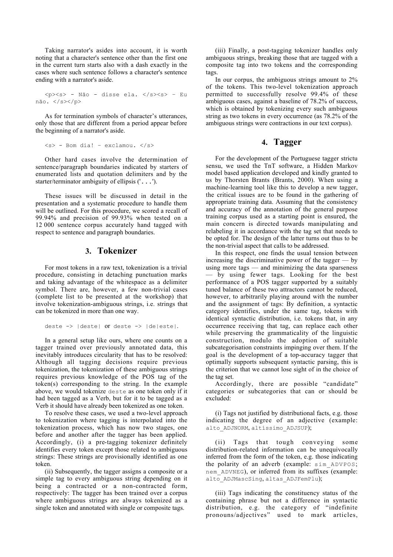Taking narrator's asides into account, it is worth noting that a character's sentence other than the first one in the current turn starts also with a dash exactly in the cases where such sentence follows a character's sentence ending with a narrator's aside.

<p><s> - Não - disse ela. </s><s> – Eu não. </s></p>

As for termination symbols of character's utterances, only those that are different from a period appear before the beginning of a narrator's aside.

```
\langle s \rangle - Bom dia! - exclamou. \langle s \rangle
```
Other hard cases involve the determination of sentence/paragraph boundaries indicated by starters of enumerated lists and quotation delimiters and by the starter/terminator ambiguity of ellipsis ('...').

These issues will be discussed in detail in the presentation and a systematic procedure to handle them will be outlined. For this procedure, we scored a recall of 99.94% and precision of 99.93% when tested on a 12 000 sentence corpus accurately hand tagged with respect to sentence and paragraph boundaries.

# **3. Tokenizer**

For most tokens in a raw text, tokenization is a trivial procedure, consisting in detaching punctuation marks and taking advantage of the whitespace as a delimiter symbol. There are, however, a few non-trivial cases (complete list to be presented at the workshop) that involve tokenization-ambiguous strings, i.e. strings that can be tokenized in more than one way.

```
deste -> |deste| or deste -> |de|este|.
```
In a general setup like ours, where one counts on a tagger trained over previously annotated data, this inevitably introduces circularity that has to be resolved: Although all tagging decisions require previous tokenization, the tokenization of these ambiguous strings requires previous knowledge of the POS tag of the token(s) corresponding to the string. In the example above, we would tokenize deste as one token only if it had been tagged as a Verb, but for it to be tagged as a Verb it should have already been tokenized as one token.

To resolve these cases, we used a two-level approach to tokenization where tagging is interpolated into the tokenization process, which has now two stages, one before and another after the tagger has been applied. Accordingly, (i) a pre-tagging tokenizer definitely identifies every token except those related to ambiguous strings: These strings are provisionally identified as one token.

(ii) Subsequently, the tagger assigns a composite or a simple tag to every ambiguous string depending on it being a contracted or a non-contracted form, respectively: The tagger has been trained over a corpus where ambiguous strings are always tokenized as a single token and annotated with single or composite tags.

(iii) Finally, a post-tagging tokenizer handles only ambiguous strings, breaking those that are tagged with a composite tag into two tokens and the corresponding tags.

In our corpus, the ambiguous strings amount to 2% of the tokens. This two-level tokenization approach permitted to successfully resolve 99.4% of these ambiguous cases, against a baseline of 78.2% of success, which is obtained by tokenizing every such ambiguous string as two tokens in every occurrence (as 78.2% of the ambiguous strings were contractions in our text corpus).

# **4. Tagger**

For the development of the Portuguese tagger strictu sensu, we used the TnT software, a Hidden Markov model based application developed and kindly granted to us by Thorsten Brants (Brants, 2000). When using a machine-learning tool like this to develop a new tagger, the critical issues are to be found in the gathering of appropriate training data. Assuming that the consistency and accuracy of the annotation of the general purpose training corpus used as a starting point is ensured, the main concern is directed towards manipulating and relabeling it in accordance with the tag set that needs to be opted for. The design of the latter turns out thus to be the non-trivial aspect that calls to be addressed.

In this respect, one finds the usual tension between increasing the discriminative power of the tagger — by using more tags — and minimizing the data sparseness — by using fewer tags. Looking for the best performance of a POS tagger supported by a suitably tuned balance of these two attractors cannot be reduced, however, to arbitrarily playing around with the number and the assignment of tags: By definition, a syntactic category identifies, under the same tag, tokens with identical syntactic distribution, i.e. tokens that, in any occurrence receiving that tag, can replace each other while preserving the grammaticality of the linguistic construction, modulo the adoption of suitable subcategorisation constraints impinging over them. If the goal is the development of a top-accuracy tagger that optimally supports subsequent syntactic parsing, this is the criterion that we cannot lose sight of in the choice of the tag set.

Accordingly, there are possible "candidate" categories or subcategories that can or should be excluded:

(i) Tags not justified by distributional facts, e.g. those indicating the degree of an adjective (example: alto\_ADJNORM, altíssimo\_ADJSUP);

(ii) Tags that tough conveying some distribution-related information can be unequivocally inferred from the form of the token, e.g. those indicating the polarity of an adverb (example: sim\_ADVPOS; nem\_ADVNEG), or inferred from its suffixes (example: alto ADJMascSing, altas ADJFemPlu);

(iii) Tags indicating the constituency status of the containing phrase but not a difference in syntactic distribution, e.g. the category of "indefinite pronouns/adjectives" used to mark articles,